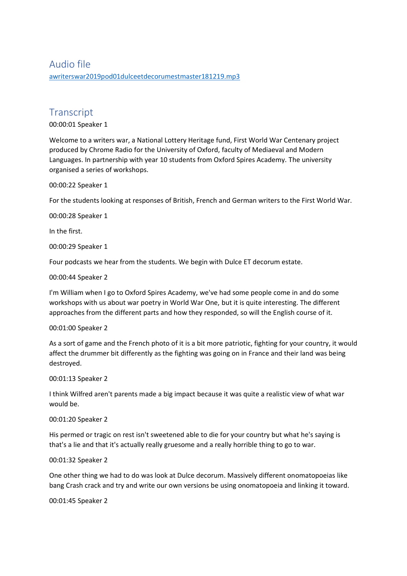# Audio file [awriterswar2019pod01dulceetdecorumestmaster181219.mp3](https://unioxfordnexus-my.sharepoint.com/personal/etrc0002_ox_ac_uk/Documents/Transcribed%20Files/awriterswar2019pod01dulceetdecorumestmaster181219.mp3)

# **Transcript**

00:00:01 Speaker 1

Welcome to a writers war, a National Lottery Heritage fund, First World War Centenary project produced by Chrome Radio for the University of Oxford, faculty of Mediaeval and Modern Languages. In partnership with year 10 students from Oxford Spires Academy. The university organised a series of workshops.

00:00:22 Speaker 1

For the students looking at responses of British, French and German writers to the First World War.

00:00:28 Speaker 1

In the first.

00:00:29 Speaker 1

Four podcasts we hear from the students. We begin with Dulce ET decorum estate.

00:00:44 Speaker 2

I'm William when I go to Oxford Spires Academy, we've had some people come in and do some workshops with us about war poetry in World War One, but it is quite interesting. The different approaches from the different parts and how they responded, so will the English course of it.

# 00:01:00 Speaker 2

As a sort of game and the French photo of it is a bit more patriotic, fighting for your country, it would affect the drummer bit differently as the fighting was going on in France and their land was being destroyed.

00:01:13 Speaker 2

I think Wilfred aren't parents made a big impact because it was quite a realistic view of what war would be.

# 00:01:20 Speaker 2

His permed or tragic on rest isn't sweetened able to die for your country but what he's saying is that's a lie and that it's actually really gruesome and a really horrible thing to go to war.

# 00:01:32 Speaker 2

One other thing we had to do was look at Dulce decorum. Massively different onomatopoeias like bang Crash crack and try and write our own versions be using onomatopoeia and linking it toward.

00:01:45 Speaker 2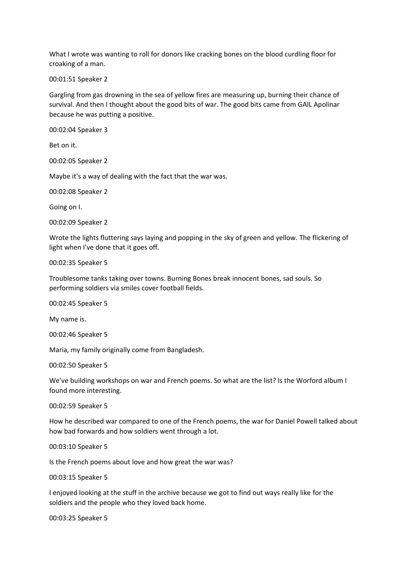What I wrote was wanting to roll for donors like cracking bones on the blood curdling floor for croaking of a man.

00:01:51 Speaker 2

Gargling from gas drowning in the sea of yellow fires are measuring up, burning their chance of survival. And then I thought about the good bits of war. The good bits came from GAIL Apolinar because he was putting a positive.

00:02:04 Speaker 3

Bet on it.

00:02:05 Speaker 2

Maybe it's a way of dealing with the fact that the war was.

00:02:08 Speaker 2

Going on I.

00:02:09 Speaker 2

Wrote the lights fluttering says laying and popping in the sky of green and yellow. The flickering of light when I've done that it goes off.

00:02:35 Speaker 5

Troublesome tanks taking over towns. Burning Bones break innocent bones, sad souls. So performing soldiers via smiles cover football fields.

00:02:45 Speaker 5

My name is.

00:02:46 Speaker 5

Maria, my family originally come from Bangladesh.

00:02:50 Speaker 5

We've building workshops on war and French poems. So what are the list? Is the Worford album I found more interesting.

00:02:59 Speaker 5

How he described war compared to one of the French poems, the war for Daniel Powell talked about how bad forwards and how soldiers went through a lot.

00:03:10 Speaker 5

Is the French poems about love and how great the war was?

00:03:15 Speaker 5

I enjoyed looking at the stuff in the archive because we got to find out ways really like for the soldiers and the people who they loved back home.

00:03:25 Speaker 5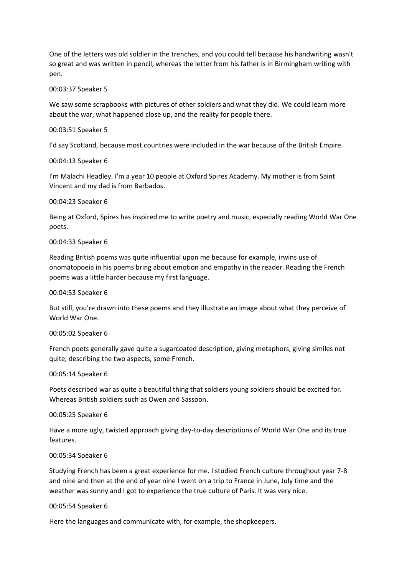One of the letters was old soldier in the trenches, and you could tell because his handwriting wasn't so great and was written in pencil, whereas the letter from his father is in Birmingham writing with pen.

#### 00:03:37 Speaker 5

We saw some scrapbooks with pictures of other soldiers and what they did. We could learn more about the war, what happened close up, and the reality for people there.

#### 00:03:51 Speaker 5

I'd say Scotland, because most countries were included in the war because of the British Empire.

# 00:04:13 Speaker 6

I'm Malachi Headley. I'm a year 10 people at Oxford Spires Academy. My mother is from Saint Vincent and my dad is from Barbados.

#### 00:04:23 Speaker 6

Being at Oxford, Spires has inspired me to write poetry and music, especially reading World War One poets.

# 00:04:33 Speaker 6

Reading British poems was quite influential upon me because for example, irwins use of onomatopoeia in his poems bring about emotion and empathy in the reader. Reading the French poems was a little harder because my first language.

# 00:04:53 Speaker 6

But still, you're drawn into these poems and they illustrate an image about what they perceive of World War One.

#### 00:05:02 Speaker 6

French poets generally gave quite a sugarcoated description, giving metaphors, giving similes not quite, describing the two aspects, some French.

# 00:05:14 Speaker 6

Poets described war as quite a beautiful thing that soldiers young soldiers should be excited for. Whereas British soldiers such as Owen and Sassoon.

#### 00:05:25 Speaker 6

Have a more ugly, twisted approach giving day-to-day descriptions of World War One and its true features.

#### 00:05:34 Speaker 6

Studying French has been a great experience for me. I studied French culture throughout year 7-8 and nine and then at the end of year nine I went on a trip to France in June, July time and the weather was sunny and I got to experience the true culture of Paris. It was very nice.

#### 00:05:54 Speaker 6

Here the languages and communicate with, for example, the shopkeepers.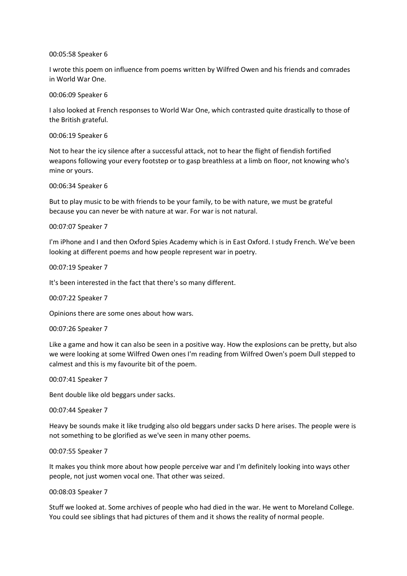# 00:05:58 Speaker 6

I wrote this poem on influence from poems written by Wilfred Owen and his friends and comrades in World War One.

00:06:09 Speaker 6

I also looked at French responses to World War One, which contrasted quite drastically to those of the British grateful.

00:06:19 Speaker 6

Not to hear the icy silence after a successful attack, not to hear the flight of fiendish fortified weapons following your every footstep or to gasp breathless at a limb on floor, not knowing who's mine or yours.

00:06:34 Speaker 6

But to play music to be with friends to be your family, to be with nature, we must be grateful because you can never be with nature at war. For war is not natural.

00:07:07 Speaker 7

I'm iPhone and I and then Oxford Spies Academy which is in East Oxford. I study French. We've been looking at different poems and how people represent war in poetry.

00:07:19 Speaker 7

It's been interested in the fact that there's so many different.

00:07:22 Speaker 7

Opinions there are some ones about how wars.

#### 00:07:26 Speaker 7

Like a game and how it can also be seen in a positive way. How the explosions can be pretty, but also we were looking at some Wilfred Owen ones I'm reading from Wilfred Owen's poem Dull stepped to calmest and this is my favourite bit of the poem.

00:07:41 Speaker 7

Bent double like old beggars under sacks.

00:07:44 Speaker 7

Heavy be sounds make it like trudging also old beggars under sacks D here arises. The people were is not something to be glorified as we've seen in many other poems.

#### 00:07:55 Speaker 7

It makes you think more about how people perceive war and I'm definitely looking into ways other people, not just women vocal one. That other was seized.

#### 00:08:03 Speaker 7

Stuff we looked at. Some archives of people who had died in the war. He went to Moreland College. You could see siblings that had pictures of them and it shows the reality of normal people.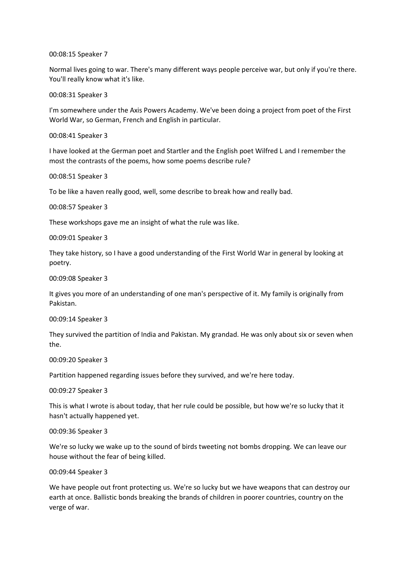00:08:15 Speaker 7

Normal lives going to war. There's many different ways people perceive war, but only if you're there. You'll really know what it's like.

00:08:31 Speaker 3

I'm somewhere under the Axis Powers Academy. We've been doing a project from poet of the First World War, so German, French and English in particular.

00:08:41 Speaker 3

I have looked at the German poet and Startler and the English poet Wilfred L and I remember the most the contrasts of the poems, how some poems describe rule?

00:08:51 Speaker 3

To be like a haven really good, well, some describe to break how and really bad.

00:08:57 Speaker 3

These workshops gave me an insight of what the rule was like.

00:09:01 Speaker 3

They take history, so I have a good understanding of the First World War in general by looking at poetry.

00:09:08 Speaker 3

It gives you more of an understanding of one man's perspective of it. My family is originally from Pakistan.

00:09:14 Speaker 3

They survived the partition of India and Pakistan. My grandad. He was only about six or seven when the.

00:09:20 Speaker 3

Partition happened regarding issues before they survived, and we're here today.

00:09:27 Speaker 3

This is what I wrote is about today, that her rule could be possible, but how we're so lucky that it hasn't actually happened yet.

00:09:36 Speaker 3

We're so lucky we wake up to the sound of birds tweeting not bombs dropping. We can leave our house without the fear of being killed.

00:09:44 Speaker 3

We have people out front protecting us. We're so lucky but we have weapons that can destroy our earth at once. Ballistic bonds breaking the brands of children in poorer countries, country on the verge of war.